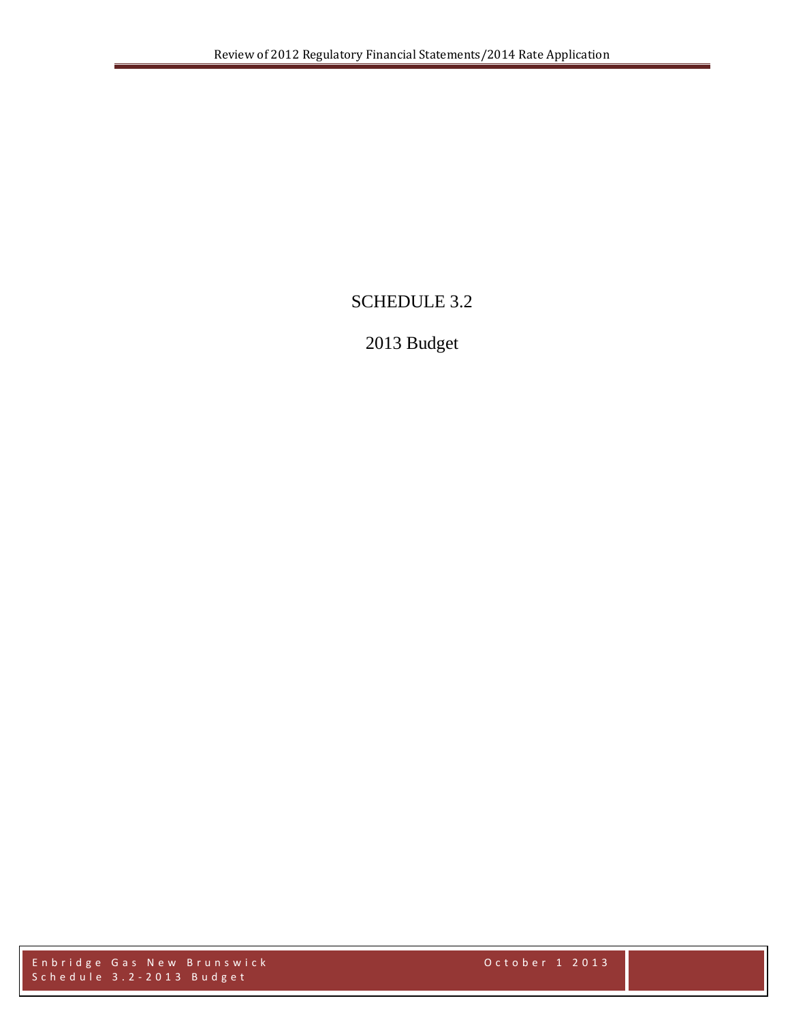## SCHEDULE 3.2

# 2013 Budget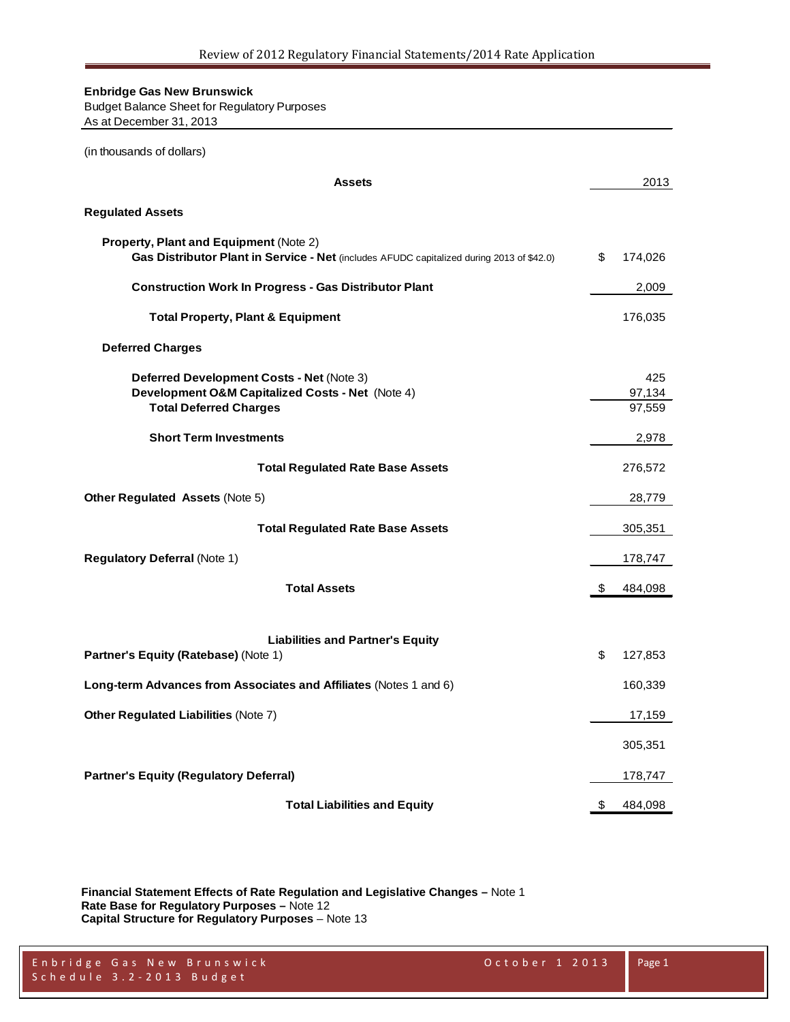Budget Balance Sheet for Regulatory Purposes As at December 31, 2013

| (in thousands of dollars)                                                                                                           |                         |
|-------------------------------------------------------------------------------------------------------------------------------------|-------------------------|
| <b>Assets</b>                                                                                                                       | 2013                    |
| <b>Regulated Assets</b>                                                                                                             |                         |
| Property, Plant and Equipment (Note 2)<br>Gas Distributor Plant in Service - Net (includes AFUDC capitalized during 2013 of \$42.0) | \$<br>174,026           |
| <b>Construction Work In Progress - Gas Distributor Plant</b>                                                                        | 2,009                   |
| <b>Total Property, Plant &amp; Equipment</b>                                                                                        | 176,035                 |
| <b>Deferred Charges</b>                                                                                                             |                         |
| Deferred Development Costs - Net (Note 3)<br>Development O&M Capitalized Costs - Net (Note 4)<br><b>Total Deferred Charges</b>      | 425<br>97,134<br>97,559 |
| <b>Short Term Investments</b>                                                                                                       | 2,978                   |
| <b>Total Regulated Rate Base Assets</b>                                                                                             | 276,572                 |
| Other Regulated Assets (Note 5)                                                                                                     | 28,779                  |
| <b>Total Regulated Rate Base Assets</b>                                                                                             | 305,351                 |
| <b>Regulatory Deferral (Note 1)</b>                                                                                                 | 178,747                 |
| <b>Total Assets</b>                                                                                                                 | \$<br>484,098           |
| <b>Liabilities and Partner's Equity</b><br>Partner's Equity (Ratebase) (Note 1)                                                     | \$<br>127,853           |
| Long-term Advances from Associates and Affiliates (Notes 1 and 6)                                                                   | 160,339                 |
| Other Regulated Liabilities (Note 7)                                                                                                | 17,159                  |
|                                                                                                                                     | 305,351                 |
| <b>Partner's Equity (Regulatory Deferral)</b>                                                                                       | 178,747                 |
| <b>Total Liabilities and Equity</b>                                                                                                 | \$<br>484,098           |

**Financial Statement Effects of Rate Regulation and Legislative Changes –** Note 1 **Rate Base for Regulatory Purposes –** Note 12 **Capital Structure for Regulatory Purposes** – Note 13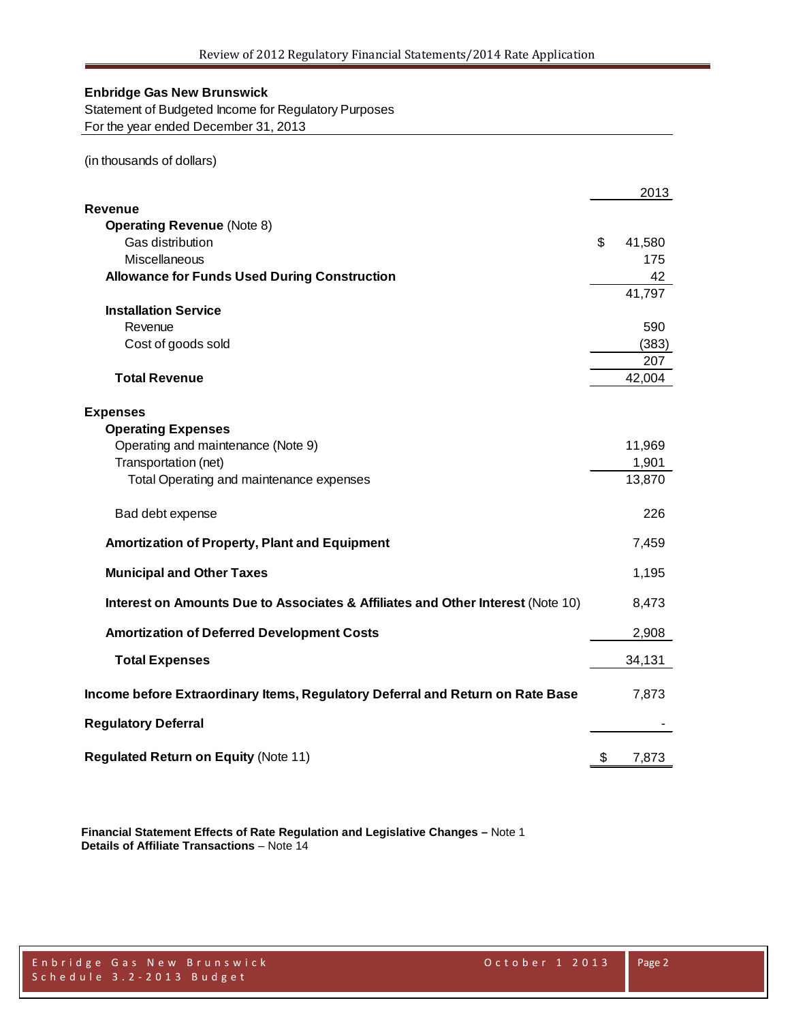Statement of Budgeted Income for Regulatory Purposes For the year ended December 31, 2013

(in thousands of dollars)

|                                                                                 | 2013            |
|---------------------------------------------------------------------------------|-----------------|
| Revenue                                                                         |                 |
| <b>Operating Revenue (Note 8)</b>                                               |                 |
| Gas distribution                                                                | \$<br>41,580    |
| Miscellaneous                                                                   | 175             |
| <b>Allowance for Funds Used During Construction</b>                             | 42              |
|                                                                                 | 41,797          |
| <b>Installation Service</b>                                                     |                 |
| Revenue                                                                         | 590             |
| Cost of goods sold                                                              | (383)           |
|                                                                                 | 207             |
| <b>Total Revenue</b>                                                            | 42,004          |
|                                                                                 |                 |
| <b>Expenses</b>                                                                 |                 |
| <b>Operating Expenses</b>                                                       |                 |
| Operating and maintenance (Note 9)                                              | 11,969<br>1,901 |
| Transportation (net)                                                            | 13,870          |
| Total Operating and maintenance expenses                                        |                 |
| Bad debt expense                                                                | 226             |
| Amortization of Property, Plant and Equipment                                   | 7,459           |
| <b>Municipal and Other Taxes</b>                                                | 1,195           |
| Interest on Amounts Due to Associates & Affiliates and Other Interest (Note 10) | 8,473           |
| <b>Amortization of Deferred Development Costs</b>                               | 2,908           |
| <b>Total Expenses</b>                                                           | 34,131          |
| Income before Extraordinary Items, Regulatory Deferral and Return on Rate Base  | 7,873           |
| <b>Regulatory Deferral</b>                                                      |                 |
|                                                                                 |                 |
| <b>Regulated Return on Equity (Note 11)</b>                                     | \$<br>7,873     |

**Financial Statement Effects of Rate Regulation and Legislative Changes –** Note 1 **Details of Affiliate Transactions** – Note 14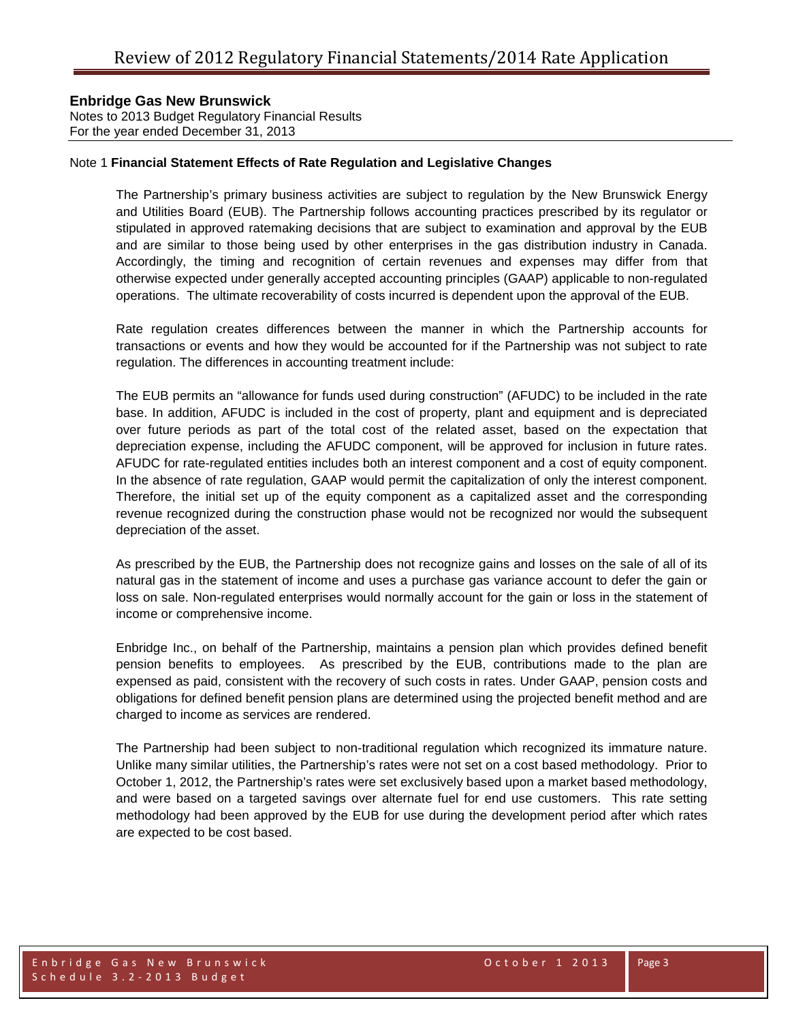Notes to 2013 Budget Regulatory Financial Results For the year ended December 31, 2013

### Note 1 **Financial Statement Effects of Rate Regulation and Legislative Changes**

The Partnership's primary business activities are subject to regulation by the New Brunswick Energy and Utilities Board (EUB). The Partnership follows accounting practices prescribed by its regulator or stipulated in approved ratemaking decisions that are subject to examination and approval by the EUB and are similar to those being used by other enterprises in the gas distribution industry in Canada. Accordingly, the timing and recognition of certain revenues and expenses may differ from that otherwise expected under generally accepted accounting principles (GAAP) applicable to non-regulated operations. The ultimate recoverability of costs incurred is dependent upon the approval of the EUB.

Rate regulation creates differences between the manner in which the Partnership accounts for transactions or events and how they would be accounted for if the Partnership was not subject to rate regulation. The differences in accounting treatment include:

The EUB permits an "allowance for funds used during construction" (AFUDC) to be included in the rate base. In addition, AFUDC is included in the cost of property, plant and equipment and is depreciated over future periods as part of the total cost of the related asset, based on the expectation that depreciation expense, including the AFUDC component, will be approved for inclusion in future rates. AFUDC for rate-regulated entities includes both an interest component and a cost of equity component. In the absence of rate regulation, GAAP would permit the capitalization of only the interest component. Therefore, the initial set up of the equity component as a capitalized asset and the corresponding revenue recognized during the construction phase would not be recognized nor would the subsequent depreciation of the asset.

As prescribed by the EUB, the Partnership does not recognize gains and losses on the sale of all of its natural gas in the statement of income and uses a purchase gas variance account to defer the gain or loss on sale. Non-regulated enterprises would normally account for the gain or loss in the statement of income or comprehensive income.

Enbridge Inc., on behalf of the Partnership, maintains a pension plan which provides defined benefit pension benefits to employees. As prescribed by the EUB, contributions made to the plan are expensed as paid, consistent with the recovery of such costs in rates. Under GAAP, pension costs and obligations for defined benefit pension plans are determined using the projected benefit method and are charged to income as services are rendered.

The Partnership had been subject to non-traditional regulation which recognized its immature nature. Unlike many similar utilities, the Partnership's rates were not set on a cost based methodology. Prior to October 1, 2012, the Partnership's rates were set exclusively based upon a market based methodology, and were based on a targeted savings over alternate fuel for end use customers. This rate setting methodology had been approved by the EUB for use during the development period after which rates are expected to be cost based.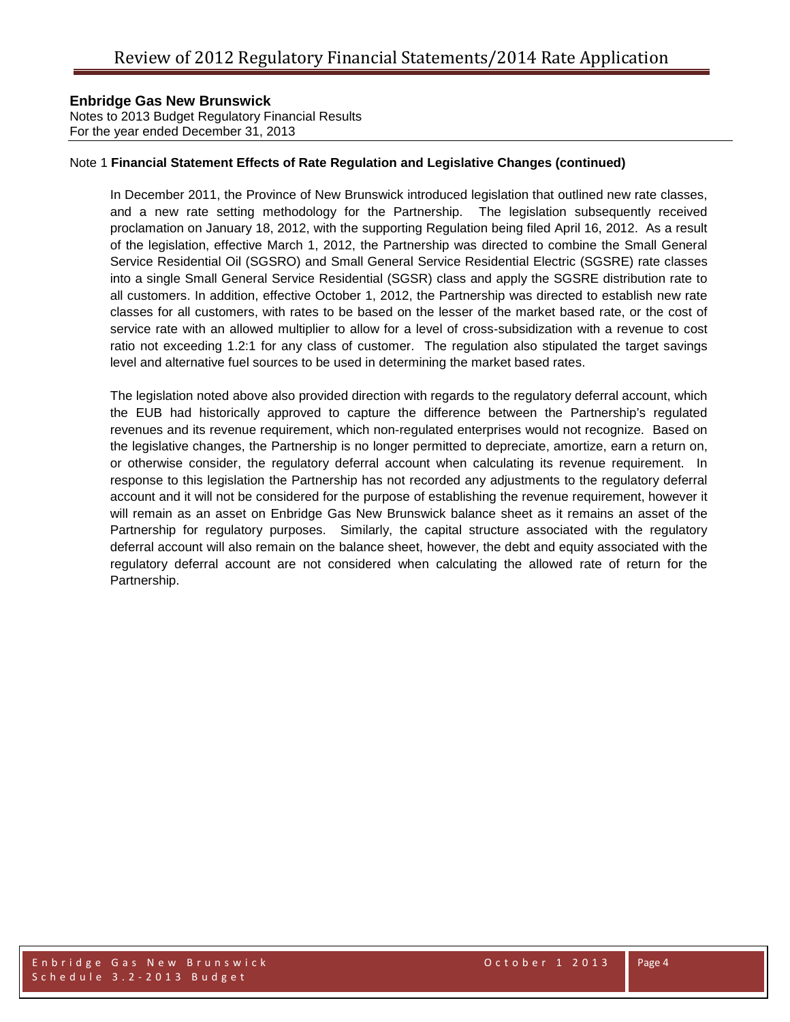Notes to 2013 Budget Regulatory Financial Results For the year ended December 31, 2013

#### Note 1 **Financial Statement Effects of Rate Regulation and Legislative Changes (continued)**

In December 2011, the Province of New Brunswick introduced legislation that outlined new rate classes, and a new rate setting methodology for the Partnership. The legislation subsequently received proclamation on January 18, 2012, with the supporting Regulation being filed April 16, 2012. As a result of the legislation, effective March 1, 2012, the Partnership was directed to combine the Small General Service Residential Oil (SGSRO) and Small General Service Residential Electric (SGSRE) rate classes into a single Small General Service Residential (SGSR) class and apply the SGSRE distribution rate to all customers. In addition, effective October 1, 2012, the Partnership was directed to establish new rate classes for all customers, with rates to be based on the lesser of the market based rate, or the cost of service rate with an allowed multiplier to allow for a level of cross-subsidization with a revenue to cost ratio not exceeding 1.2:1 for any class of customer. The regulation also stipulated the target savings level and alternative fuel sources to be used in determining the market based rates.

The legislation noted above also provided direction with regards to the regulatory deferral account, which the EUB had historically approved to capture the difference between the Partnership's regulated revenues and its revenue requirement, which non-regulated enterprises would not recognize. Based on the legislative changes, the Partnership is no longer permitted to depreciate, amortize, earn a return on, or otherwise consider, the regulatory deferral account when calculating its revenue requirement. In response to this legislation the Partnership has not recorded any adjustments to the regulatory deferral account and it will not be considered for the purpose of establishing the revenue requirement, however it will remain as an asset on Enbridge Gas New Brunswick balance sheet as it remains an asset of the Partnership for regulatory purposes. Similarly, the capital structure associated with the regulatory deferral account will also remain on the balance sheet, however, the debt and equity associated with the regulatory deferral account are not considered when calculating the allowed rate of return for the Partnership.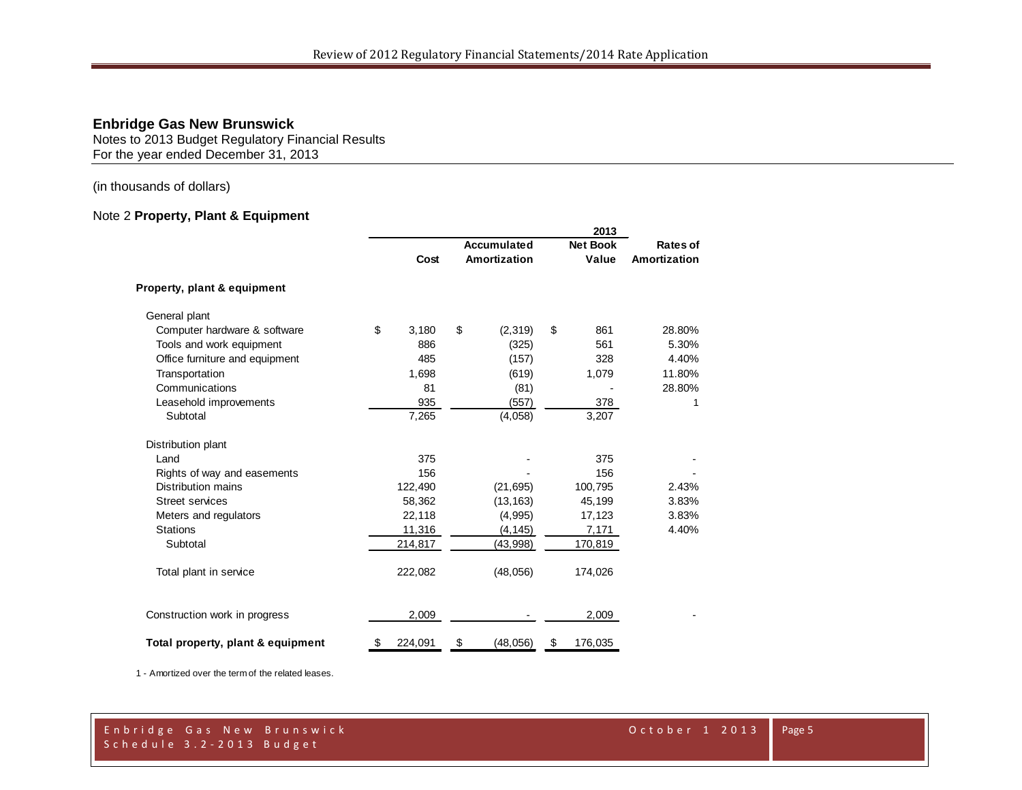Notes to 2013 Budget Regulatory Financial Results For the year ended December 31, 2013

(in thousands of dollars)

## Note 2 **Property, Plant & Equipment**

|                                   | 2013 |             |    |              |    |                 |              |
|-----------------------------------|------|-------------|----|--------------|----|-----------------|--------------|
|                                   |      | Accumulated |    |              |    | <b>Net Book</b> | Rates of     |
|                                   |      | Cost        |    | Amortization |    | Value           | Amortization |
| Property, plant & equipment       |      |             |    |              |    |                 |              |
| General plant                     |      |             |    |              |    |                 |              |
| Computer hardware & software      | \$   | 3,180       | \$ | (2,319)      | \$ | 861             | 28.80%       |
| Tools and work equipment          |      | 886         |    | (325)        |    | 561             | 5.30%        |
| Office furniture and equipment    |      | 485         |    | (157)        |    | 328             | 4.40%        |
| Transportation                    |      | 1,698       |    | (619)        |    | 1,079           | 11.80%       |
| Communications                    |      | 81          |    | (81)         |    |                 | 28.80%       |
| Leasehold improvements            |      | 935         |    | (557)        |    | 378             | 1            |
| Subtotal                          |      | 7,265       |    | (4,058)      |    | 3,207           |              |
| Distribution plant                |      |             |    |              |    |                 |              |
| Land                              |      | 375         |    |              |    | 375             |              |
| Rights of way and easements       |      | 156         |    |              |    | 156             |              |
| <b>Distribution mains</b>         |      | 122,490     |    | (21, 695)    |    | 100,795         | 2.43%        |
| <b>Street services</b>            |      | 58,362      |    | (13, 163)    |    | 45,199          | 3.83%        |
| Meters and regulators             |      | 22,118      |    | (4,995)      |    | 17,123          | 3.83%        |
| <b>Stations</b>                   |      | 11,316      |    | (4, 145)     |    | 7,171           | 4.40%        |
| Subtotal                          |      | 214,817     |    | (43,998)     |    | 170,819         |              |
| Total plant in service            |      | 222,082     |    | (48,056)     |    | 174,026         |              |
| Construction work in progress     |      | 2,009       |    |              |    | 2,009           |              |
| Total property, plant & equipment | \$   | 224,091     | \$ | (48, 056)    | \$ | 176,035         |              |

1 - Amortized over the term of the related leases.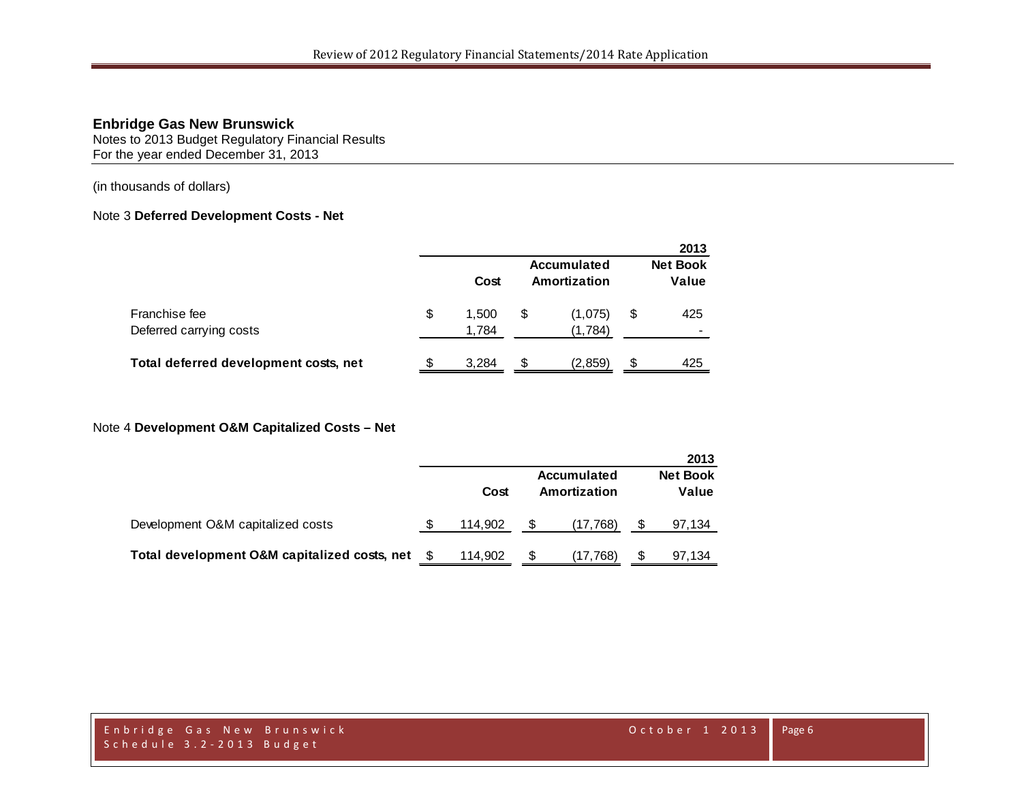Notes to 2013 Budget Regulatory Financial Results For the year ended December 31, 2013

(in thousands of dollars)

## Note 3 **Deferred Development Costs - Net**

|                                          |                      |   |                                    |    | 2013                     |
|------------------------------------------|----------------------|---|------------------------------------|----|--------------------------|
|                                          | Cost                 |   | <b>Accumulated</b><br>Amortization |    | <b>Net Book</b><br>Value |
| Franchise fee<br>Deferred carrying costs | \$<br>1.500<br>1,784 | S | (1,075)<br>(1,784)                 | \$ | 425                      |
| Total deferred development costs, net    | 3.284                | S | (2.859)                            | S  | 425                      |

#### Note 4 **Development O&M Capitalized Costs – Net**

|                                              |         |                                    | 2013                     |
|----------------------------------------------|---------|------------------------------------|--------------------------|
|                                              | Cost    | <b>Accumulated</b><br>Amortization | <b>Net Book</b><br>Value |
| Development O&M capitalized costs            | 114.902 | (17, 768)                          | 97,134                   |
| Total development O&M capitalized costs, net | 114,902 | (17,768)                           | 97,134                   |

Enbridge Gas New Brunswick October 1 2013 Schedule 3.2 - 2013 Budget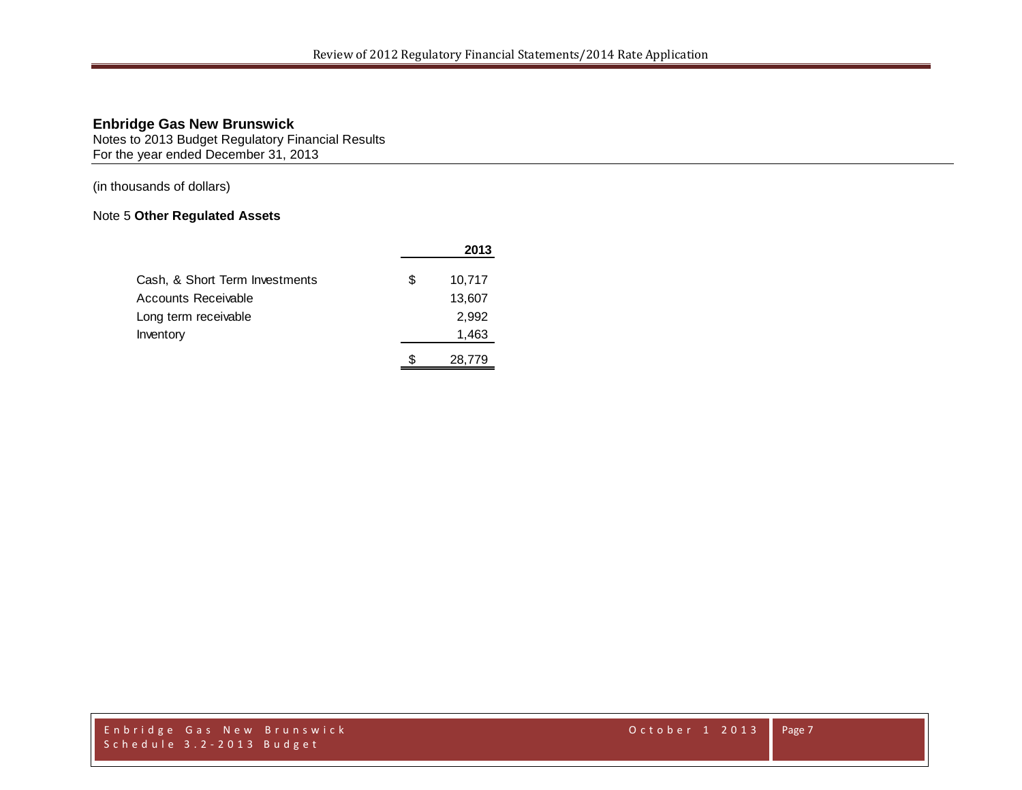Notes to 2013 Budget Regulatory Financial Results For the year ended December 31, 2013

(in thousands of dollars)

## Note 5 **Other Regulated Assets**

|                                |    | 2013   |
|--------------------------------|----|--------|
| Cash, & Short Term Investments | £. | 10,717 |
| Accounts Receivable            |    | 13,607 |
| Long term receivable           |    | 2,992  |
| Inventory                      |    | 1,463  |
|                                | S  | 28.779 |

Enbridge Gas New Brunswick October 1 2013 Schedule 3.2 - 2013 Budget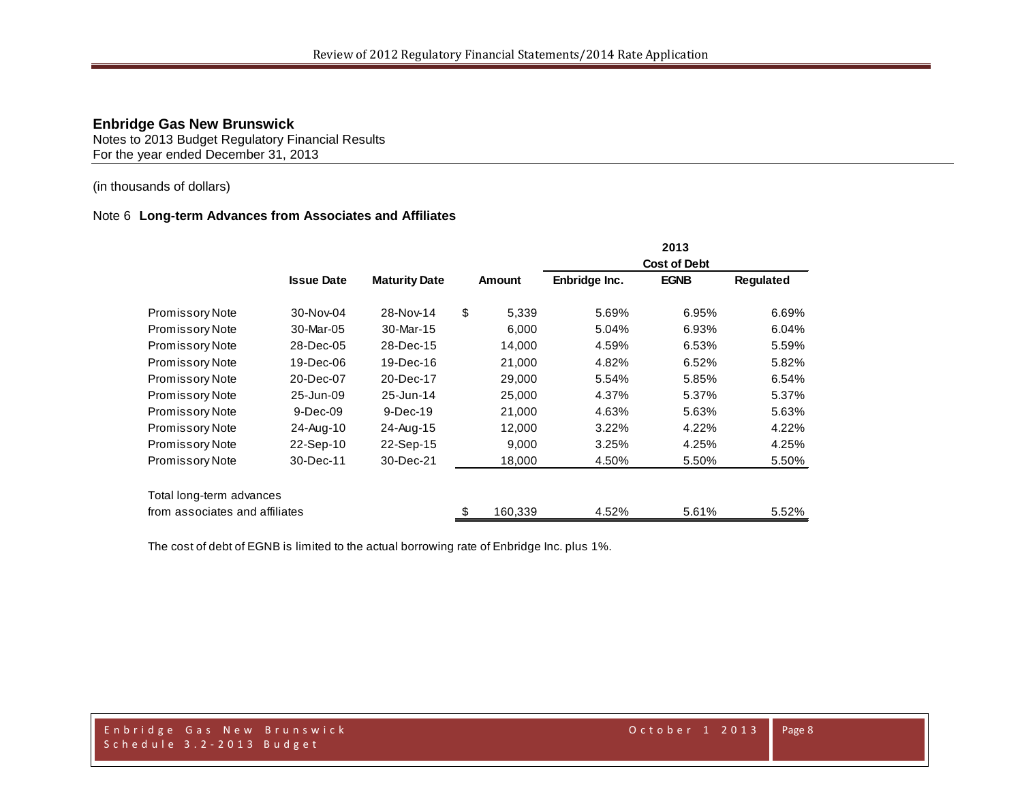Notes to 2013 Budget Regulatory Financial Results For the year ended December 31, 2013

## (in thousands of dollars)

#### Note 6 **Long-term Advances from Associates and Affiliates**

|                                |                   |                      |               |               | 2013                |           |
|--------------------------------|-------------------|----------------------|---------------|---------------|---------------------|-----------|
|                                |                   |                      |               |               | <b>Cost of Debt</b> |           |
|                                | <b>Issue Date</b> | <b>Maturity Date</b> | Amount        | Enbridge Inc. | <b>EGNB</b>         | Regulated |
| <b>Promissory Note</b>         | 30-Nov-04         | 28-Nov-14            | \$<br>5,339   | 5.69%         | 6.95%               | 6.69%     |
| <b>Promissory Note</b>         | 30-Mar-05         | 30-Mar-15            | 6,000         | 5.04%         | 6.93%               | 6.04%     |
| <b>Promissory Note</b>         | 28-Dec-05         | 28-Dec-15            | 14,000        | 4.59%         | 6.53%               | 5.59%     |
| <b>Promissory Note</b>         | 19-Dec-06         | 19-Dec-16            | 21,000        | 4.82%         | 6.52%               | 5.82%     |
| <b>Promissory Note</b>         | 20-Dec-07         | 20-Dec-17            | 29,000        | 5.54%         | 5.85%               | 6.54%     |
| Promissory Note                | 25-Jun-09         | 25-Jun-14            | 25,000        | 4.37%         | 5.37%               | 5.37%     |
| <b>Promissory Note</b>         | $9-Dec-09$        | $9-Dec-19$           | 21,000        | 4.63%         | 5.63%               | 5.63%     |
| <b>Promissory Note</b>         | 24-Aug-10         | 24-Aug-15            | 12,000        | 3.22%         | 4.22%               | 4.22%     |
| <b>Promissory Note</b>         | 22-Sep-10         | 22-Sep-15            | 9,000         | 3.25%         | 4.25%               | 4.25%     |
| <b>Promissory Note</b>         | 30-Dec-11         | 30-Dec-21            | 18,000        | 4.50%         | 5.50%               | 5.50%     |
| Total long-term advances       |                   |                      |               |               |                     |           |
| from associates and affiliates |                   |                      | \$<br>160,339 | 4.52%         | 5.61%               | 5.52%     |

The cost of debt of EGNB is limited to the actual borrowing rate of Enbridge Inc. plus 1%.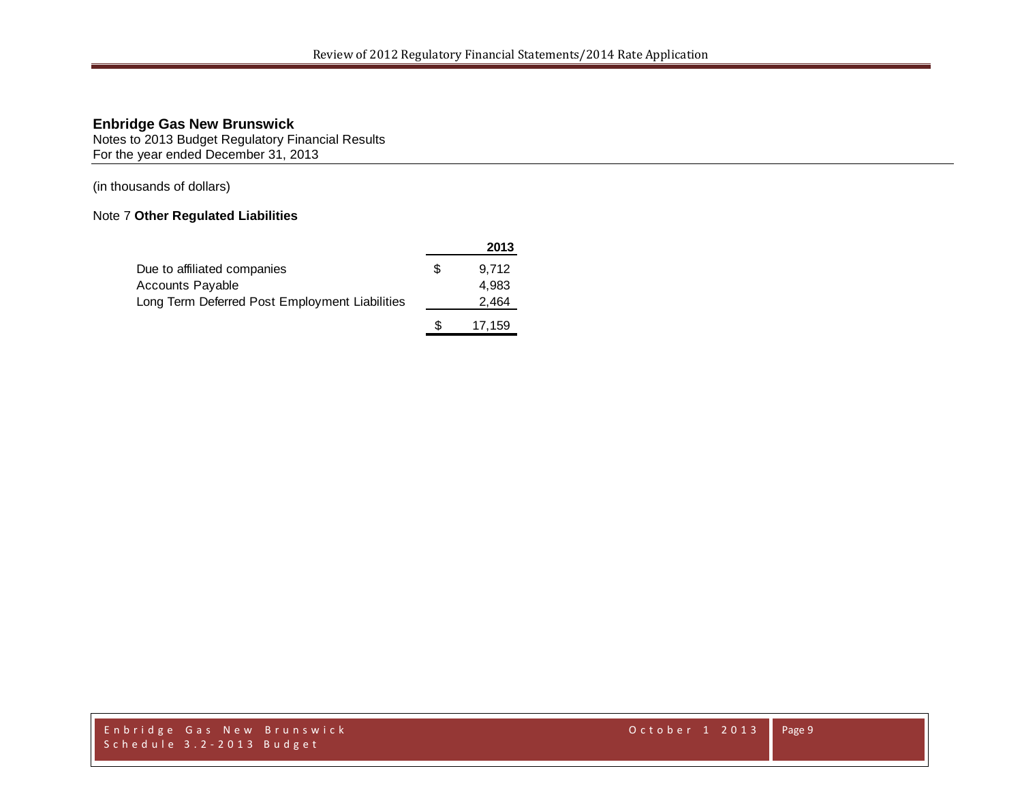Notes to 2013 Budget Regulatory Financial Results For the year ended December 31, 2013

(in thousands of dollars)

## Note 7 **Other Regulated Liabilities**

|                                                |     | 2013   |
|------------------------------------------------|-----|--------|
| Due to affiliated companies                    |     | 9.712  |
| <b>Accounts Payable</b>                        |     | 4.983  |
| Long Term Deferred Post Employment Liabilities |     | 2,464  |
|                                                | \$. | 17,159 |

Enbridge Gas New Brunswick October 1 2013 Schedule 3.2 - 2013 Budget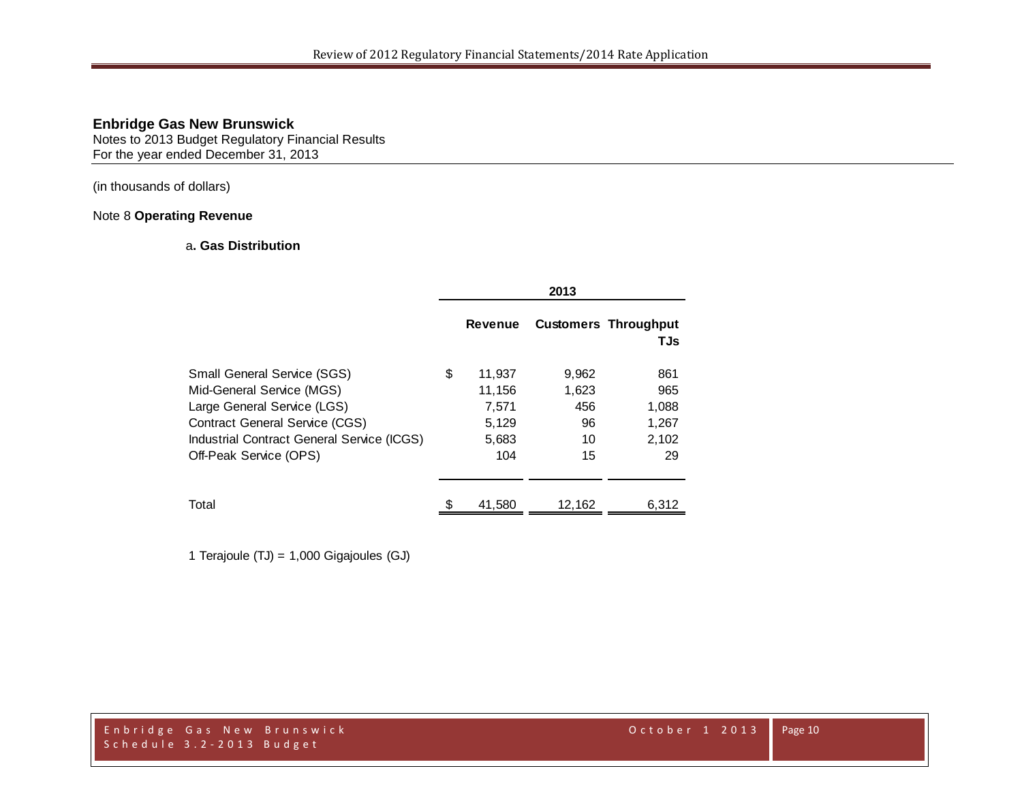Notes to 2013 Budget Regulatory Financial Results For the year ended December 31, 2013

(in thousands of dollars)

#### Note 8 **Operating Revenue**

## a**. Gas Distribution**

|                                                                                                                                                                                                                 | 2013                                                     |                                         |                                             |  |  |
|-----------------------------------------------------------------------------------------------------------------------------------------------------------------------------------------------------------------|----------------------------------------------------------|-----------------------------------------|---------------------------------------------|--|--|
|                                                                                                                                                                                                                 | <b>Revenue</b>                                           |                                         | <b>Customers Throughput</b><br>TJs          |  |  |
| <b>Small General Service (SGS)</b><br>Mid-General Service (MGS)<br>Large General Service (LGS)<br><b>Contract General Service (CGS)</b><br>Industrial Contract General Service (ICGS)<br>Off-Peak Service (OPS) | \$<br>11,937<br>11,156<br>7,571<br>5,129<br>5,683<br>104 | 9,962<br>1,623<br>456<br>96<br>10<br>15 | 861<br>965<br>1,088<br>1,267<br>2,102<br>29 |  |  |
| Total                                                                                                                                                                                                           | 41,580                                                   | 12,162                                  | 6,312                                       |  |  |

1 Terajoule (TJ) = 1,000 Gigajoules (GJ)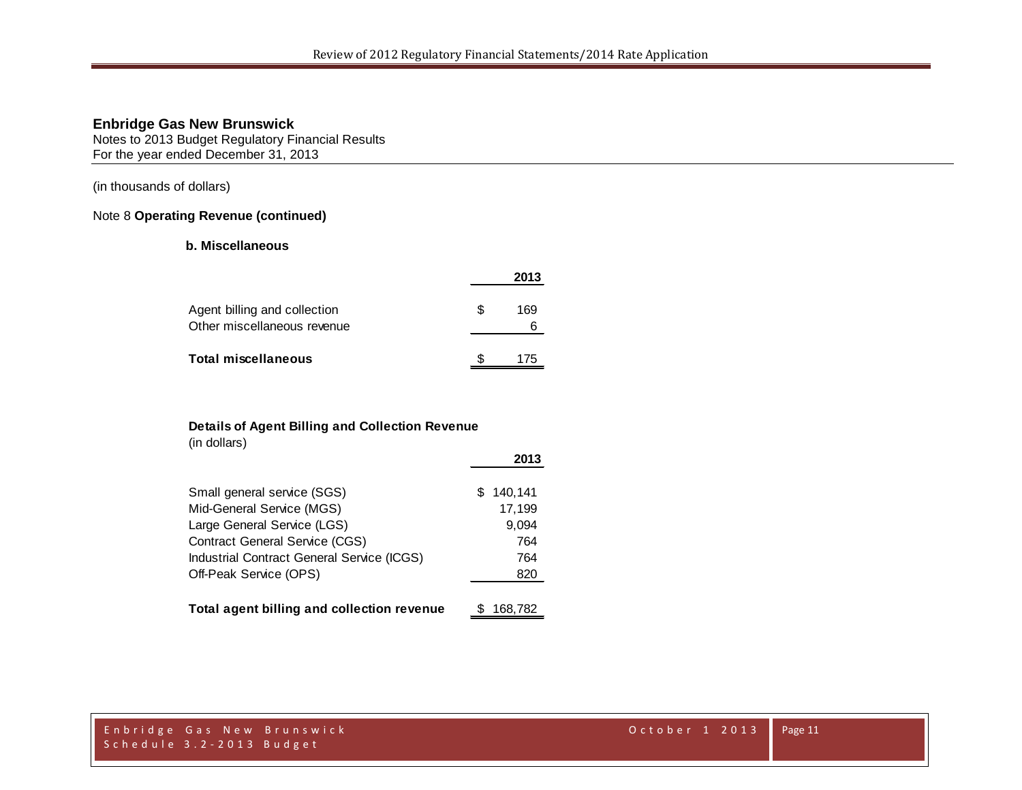Notes to 2013 Budget Regulatory Financial Results For the year ended December 31, 2013

(in thousands of dollars)

#### Note 8 **Operating Revenue (continued)**

### **b. Miscellaneous**

|                                                             |     | 2013 |
|-------------------------------------------------------------|-----|------|
| Agent billing and collection<br>Other miscellaneous revenue | \$. | 169  |
| <b>Total miscellaneous</b>                                  |     | 175  |

#### **Details of Agent Billing and Collection Revenue**

(in dollars)

|                                            | 2013      |
|--------------------------------------------|-----------|
| Small general service (SGS)                | \$140,141 |
| Mid-General Service (MGS)                  | 17,199    |
| Large General Service (LGS)                | 9,094     |
| <b>Contract General Service (CGS)</b>      | 764       |
| Industrial Contract General Service (ICGS) | 764       |
| Off-Peak Service (OPS)                     | 820       |
| Total agent billing and collection revenue | 168,782   |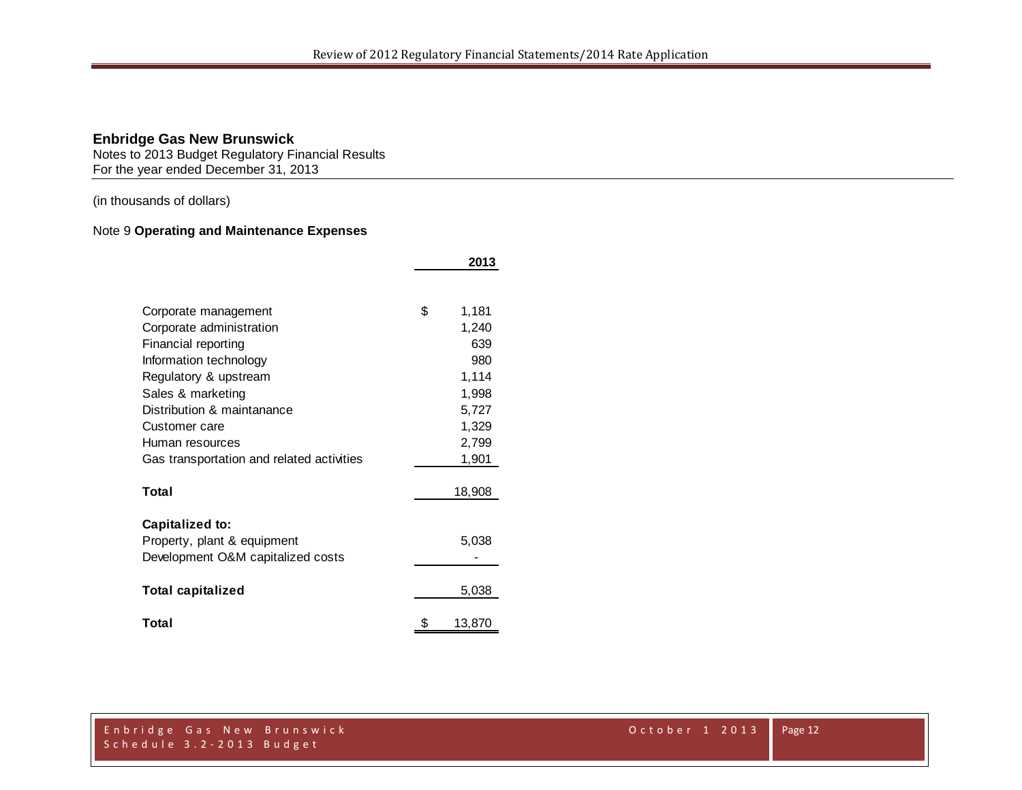Notes to 2013 Budget Regulatory Financial Results For the year ended December 31, 2013

(in thousands of dollars)

## Note 9 **Operating and Maintenance Expenses**

|                                           | 2013         |
|-------------------------------------------|--------------|
|                                           |              |
| Corporate management                      | \$<br>1,181  |
| Corporate administration                  | 1,240        |
| Financial reporting                       | 639          |
| Information technology                    | 980          |
| Regulatory & upstream                     | 1,114        |
| Sales & marketing                         | 1,998        |
| Distribution & maintanance                | 5,727        |
| Customer care                             | 1,329        |
| Human resources                           | 2,799        |
| Gas transportation and related activities | 1,901        |
| Total                                     | 18,908       |
| Capitalized to:                           |              |
| Property, plant & equipment               | 5,038        |
| Development O&M capitalized costs         |              |
| <b>Total capitalized</b>                  | 5,038        |
| Total                                     | \$<br>13,870 |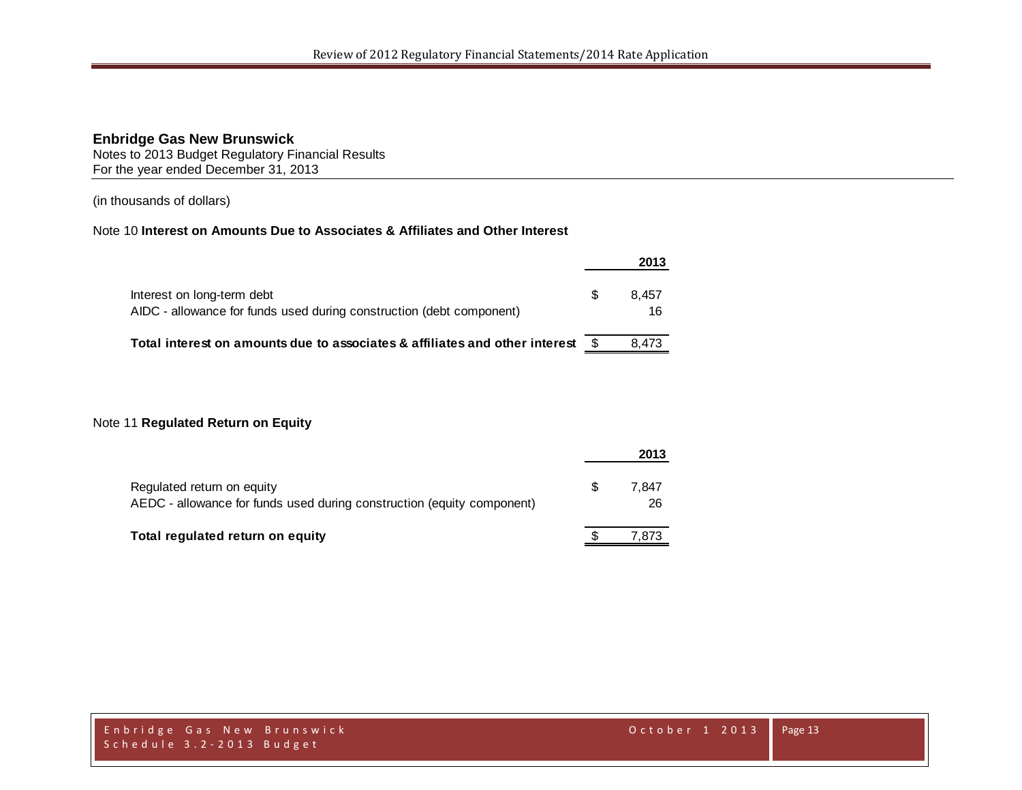Notes to 2013 Budget Regulatory Financial Results For the year ended December 31, 2013

(in thousands of dollars)

#### Note 10 **Interest on Amounts Due to Associates & Affiliates and Other Interest**

|                                                                                                    |      | 2013        |
|----------------------------------------------------------------------------------------------------|------|-------------|
| Interest on long-term debt<br>AIDC - allowance for funds used during construction (debt component) | \$.  | 8.457<br>16 |
| Total interest on amounts due to associates & affiliates and other interest                        | - \$ | 8.473       |

#### Note 11 **Regulated Return on Equity**

|                                                                                                      | 2013              |
|------------------------------------------------------------------------------------------------------|-------------------|
| Regulated return on equity<br>AEDC - allowance for funds used during construction (equity component) | \$<br>7.847<br>26 |
| Total regulated return on equity                                                                     | 7.873             |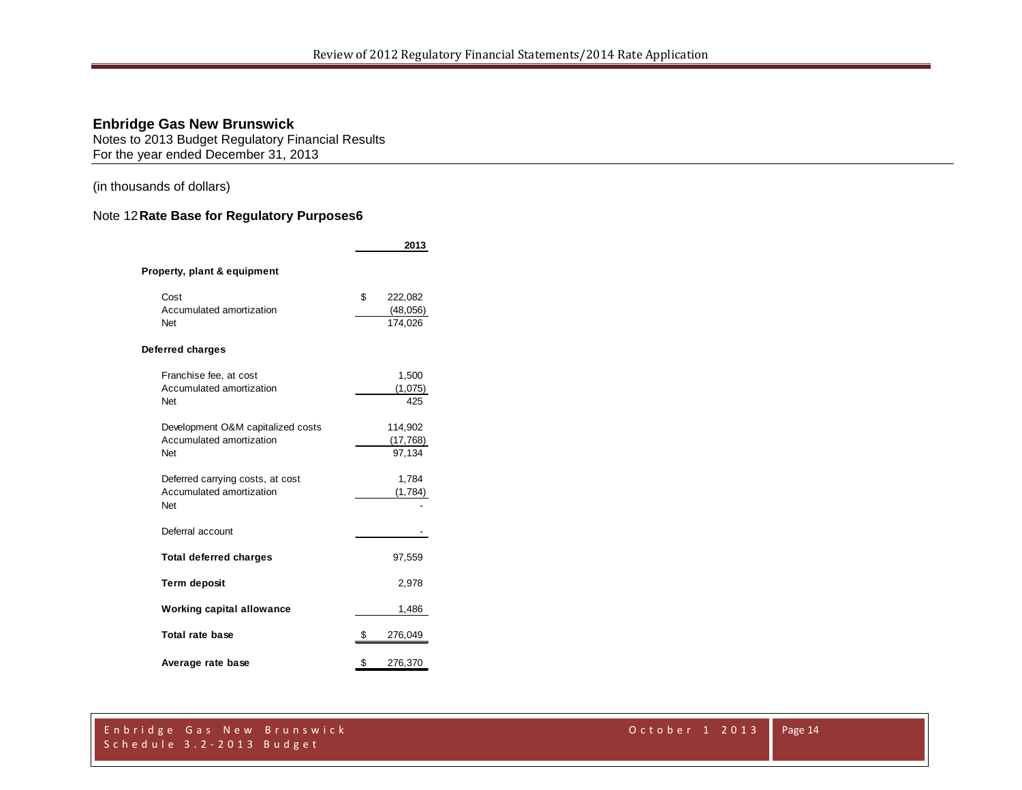Notes to 2013 Budget Regulatory Financial Results For the year ended December 31, 2013

(in thousands of dollars)

## Note 12**Rate Base for Regulatory Purposes6**

|                                                                      |    | 2013                            |  |  |  |  |  |  |  |
|----------------------------------------------------------------------|----|---------------------------------|--|--|--|--|--|--|--|
| Property, plant & equipment                                          |    |                                 |  |  |  |  |  |  |  |
| Cost<br>Accumulated amortization<br>Net                              | \$ | 222,082<br>(48, 056)<br>174,026 |  |  |  |  |  |  |  |
| Deferred charges                                                     |    |                                 |  |  |  |  |  |  |  |
| Franchise fee, at cost<br>Accumulated amortization<br>Net            |    | 1,500<br>(1,075)<br>425         |  |  |  |  |  |  |  |
| Development O&M capitalized costs<br>Accumulated amortization<br>Net |    | 114,902<br>(17, 768)<br>97,134  |  |  |  |  |  |  |  |
| Deferred carrying costs, at cost<br>Accumulated amortization<br>Net  |    | 1,784<br>(1,784)                |  |  |  |  |  |  |  |
| Deferral account                                                     |    |                                 |  |  |  |  |  |  |  |
| <b>Total deferred charges</b>                                        |    | 97,559                          |  |  |  |  |  |  |  |
| <b>Term deposit</b>                                                  |    | 2,978                           |  |  |  |  |  |  |  |
| <b>Working capital allowance</b>                                     |    | 1,486                           |  |  |  |  |  |  |  |
| Total rate base                                                      | \$ | 276,049                         |  |  |  |  |  |  |  |
| Average rate base                                                    | \$ | 276,370                         |  |  |  |  |  |  |  |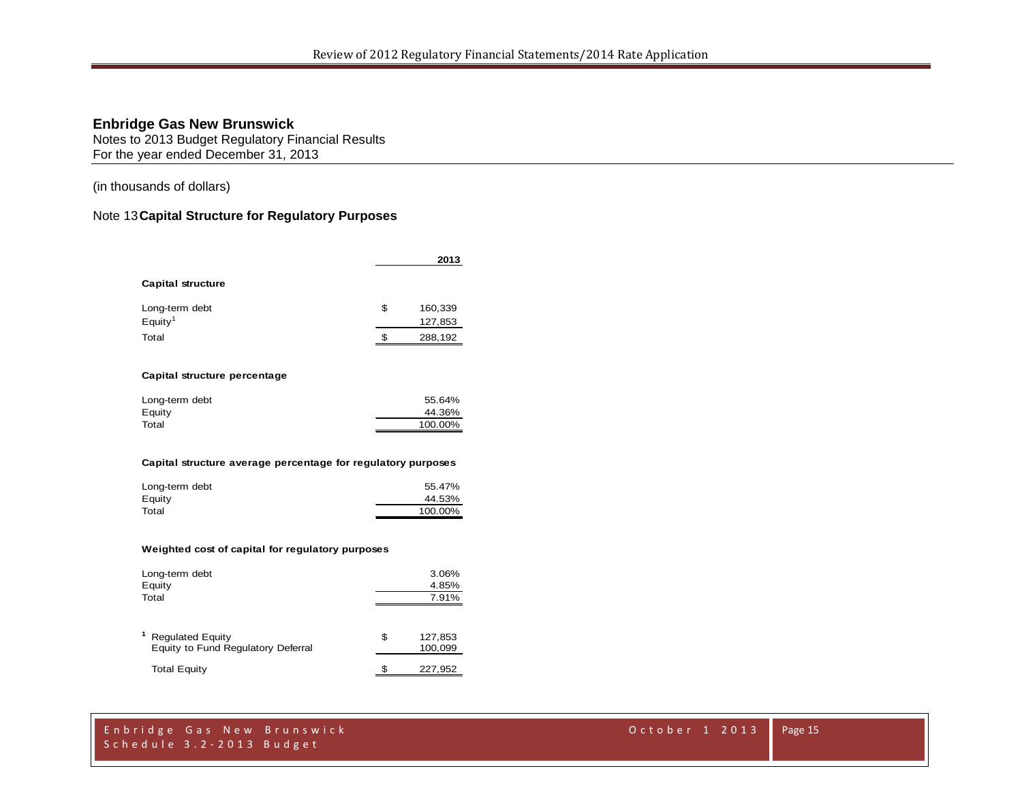Notes to 2013 Budget Regulatory Financial Results For the year ended December 31, 2013

(in thousands of dollars)

## Note 13**Capital Structure for Regulatory Purposes**

|                                                              | 2013          |
|--------------------------------------------------------------|---------------|
| Capital structure                                            |               |
| Long-term debt                                               | \$<br>160,339 |
| Equity <sup>1</sup>                                          | 127,853       |
| Total                                                        | \$<br>288,192 |
| Capital structure percentage                                 |               |
| Long-term debt                                               | 55.64%        |
| Equity                                                       | 44.36%        |
| Total                                                        | 100.00%       |
| Capital structure average percentage for regulatory purposes |               |
| Long-term debt                                               | 55.47%        |
| Equity                                                       | 44.53%        |
| Total                                                        | 100.00%       |

#### **Weighted cost of capital for regulatory purposes**

| Long-term debt<br>Equity<br>Total                             | 3.06%<br>4.85%<br>7.91%  |  |  |
|---------------------------------------------------------------|--------------------------|--|--|
| <b>Regulated Equity</b><br>Equity to Fund Regulatory Deferral | \$<br>127,853<br>100,099 |  |  |
| <b>Total Equity</b>                                           | 227,952                  |  |  |